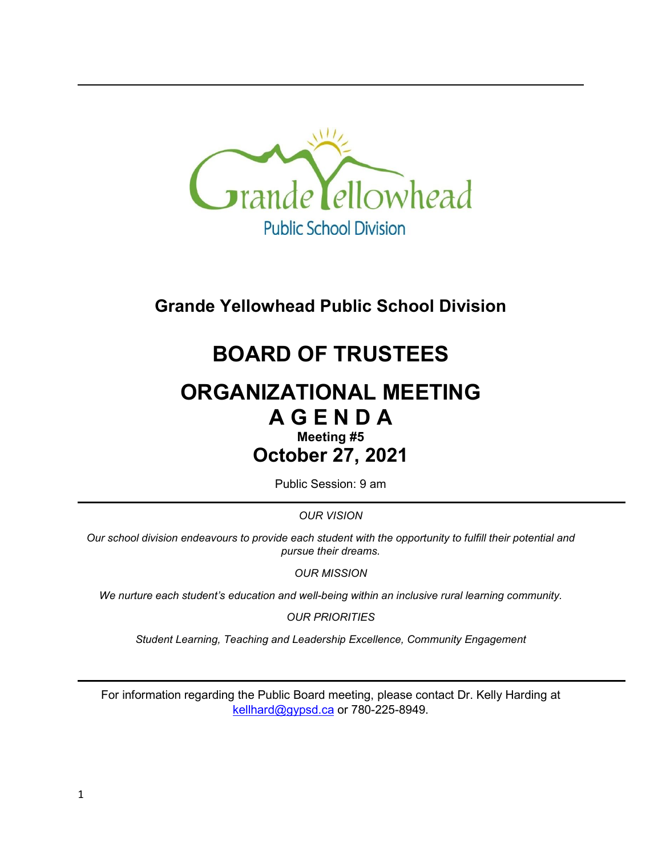

**Grande Yellowhead Public School Division**

# **BOARD OF TRUSTEES**

## **ORGANIZATIONAL MEETING A G E N D A**

## **Meeting #5 October 27, 2021**

Public Session: 9 am

*OUR VISION*

*Our school division endeavours to provide each student with the opportunity to fulfill their potential and pursue their dreams.*

*OUR MISSION*

*We nurture each student's education and well-being within an inclusive rural learning community.*

*OUR PRIORITIES*

*Student Learning, Teaching and Leadership Excellence, Community Engagement*

For information regarding the Public Board meeting, please contact Dr. Kelly Harding at [kellhard@gypsd.ca](mailto:kellhard@gypsd.ca) or 780-225-8949.